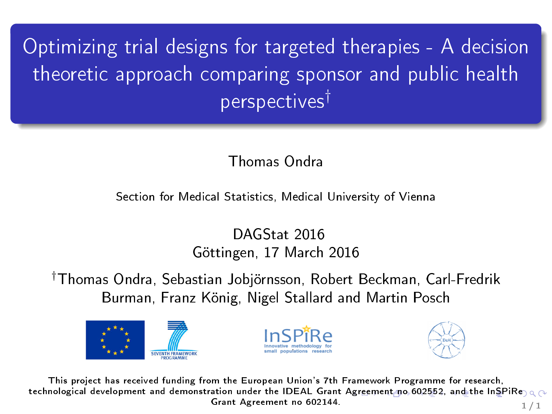<span id="page-0-0"></span>Optimizing trial designs for targeted therapies - A decision theoretic approach comparing sponsor and public health perspectives†

Thomas Ondra

Section for Medical Statistics, Medical University of Vienna

DAGStat 2016 Göttingen, 17 March 2016

†Thomas Ondra, Sebastian Jobjörnsson, Robert Beckman, Carl-Fredrik Burman, Franz König, Nigel Stallard and Martin Posch







This project has received funding from the European Union's 7th Framework Programme for research, technological development and demonstration under the IDEAL Grant [Agr](#page-0-0)eement no 602552, and the InSPIRe  $\circ \circ$ Grant Agreement no 602144.  $1/1$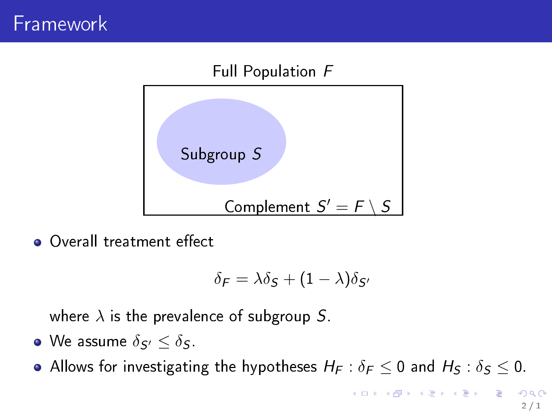

**OVerall treatment effect** 

$$
\delta_F = \lambda \delta_S + (1 - \lambda) \delta_{S'}
$$

where  $\lambda$  is the prevalence of subgroup S.

 $\bullet$  We assume  $\delta_{\mathcal{S}'} \leq \delta_{\mathcal{S}}$ .

Allows for investigating the hypotheses  $H_F : \delta_F \leq 0$  and  $H_S : \delta_S \leq 0$ .

2 / 1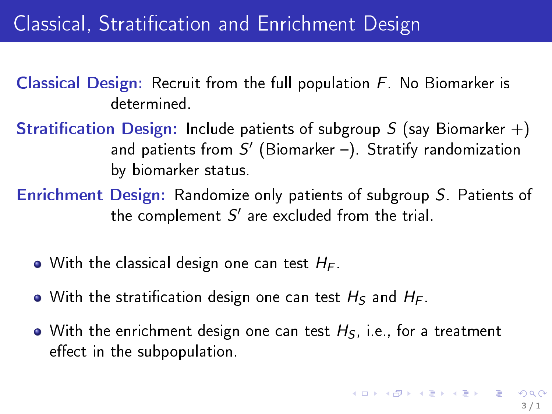# Classical, Stratification and Enrichment Design

Classical Design: Recruit from the full population F. No Biomarker is determined.

**Stratification Design:** Include patients of subgroup  $S$  (say Biomarker  $+)$ and patients from  $S'$  (Biomarker –). Stratify randomization by biomarker status.

Enrichment Design: Randomize only patients of subgroup S. Patients of the complement  $S'$  are excluded from the trial.

- $\bullet$  With the classical design one can test  $H_F$ .
- With the stratification design one can test  $H<sub>S</sub>$  and  $H<sub>F</sub>$ .
- With the enrichment design one can test  $H_S$ , i.e., for a treatment effect in the subpopulation.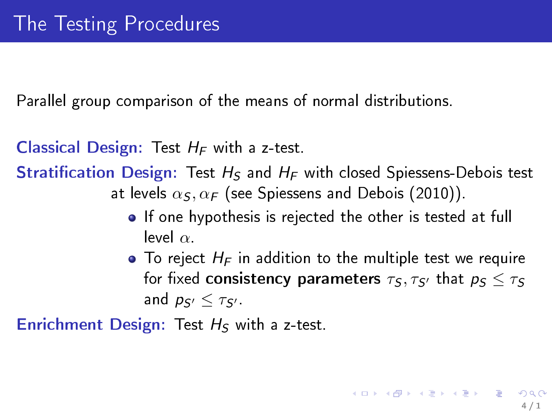Parallel group comparison of the means of normal distributions.

**Classical Design:** Test  $H_F$  with a z-test.

**Stratification Design:** Test  $H_S$  and  $H_F$  with closed Spiessens-Debois test at levels  $\alpha_S, \alpha_F$  (see Spiessens and Debois (2010)).

- **•** If one hypothesis is rejected the other is tested at full level  $\alpha$ .
- $\bullet$  To reject  $H_F$  in addition to the multiple test we require for fixed consistency parameters  $\tau_S, \tau_{S'}$  that  $p_S < \tau_S$ and  $p_{\varsigma}$   $<$   $\tau_{\varsigma}$ .

Enrichment Design: Test  $H_S$  with a z-test.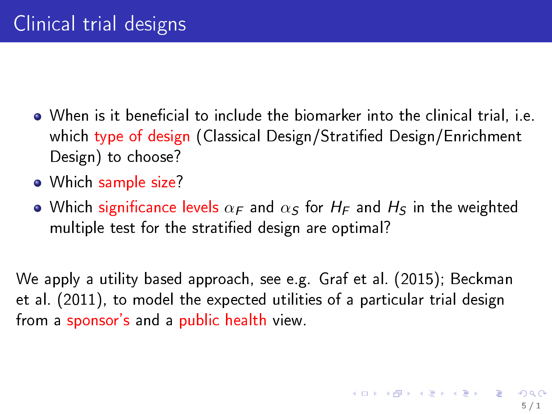- $\bullet$  When is it beneficial to include the biomarker into the clinical trial, i.e. which type of design (Classical Design/Stratified Design/Enrichment Design) to choose?
- Which sample size?
- Which significance levels  $\alpha_F$  and  $\alpha_S$  for  $H_F$  and  $H_S$  in the weighted multiple test for the stratied design are optimal?

We apply a utility based approach, see e.g. Graf et al. (2015); Beckman et al. (2011), to model the expected utilities of a particular trial design from a sponsor's and a public health view.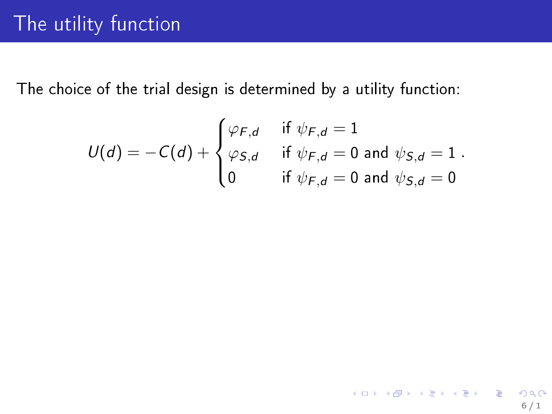$$
U(d) = -C(d) + \begin{cases} \varphi_{F,d} & \text{if } \psi_{F,d} = 1 \\ \varphi_{S,d} & \text{if } \psi_{F,d} = 0 \text{ and } \psi_{S,d} = 1 \\ 0 & \text{if } \psi_{F,d} = 0 \text{ and } \psi_{S,d} = 0 \end{cases}
$$

6 / 1

KORK@RKERKER E 1990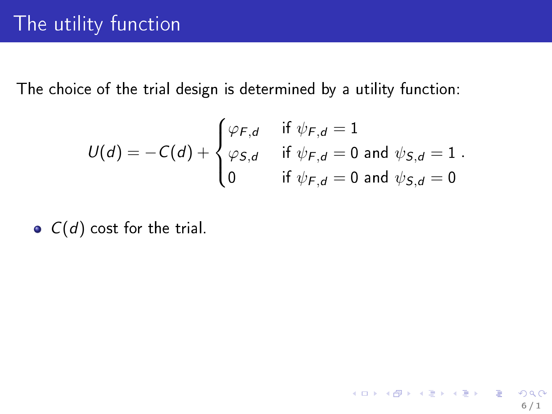$$
U(d) = -C(d) + \begin{cases} \varphi_{F,d} & \text{if } \psi_{F,d} = 1 \\ \varphi_{S,d} & \text{if } \psi_{F,d} = 0 \text{ and } \psi_{S,d} = 1 \\ 0 & \text{if } \psi_{F,d} = 0 \text{ and } \psi_{S,d} = 0 \end{cases}
$$

6 / 1

K ロ X x (@ X X 营 X X 营 X ) 를 → ⊙ Q (^

 $\bullet$   $C(d)$  cost for the trial.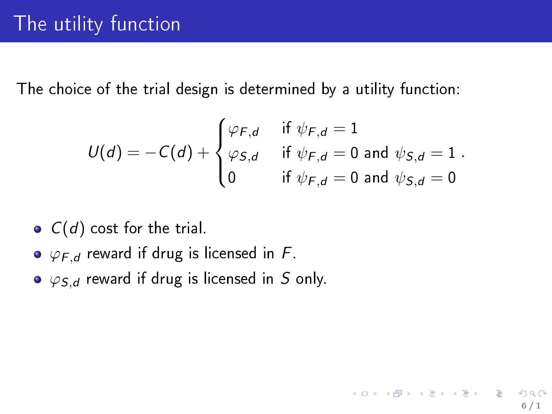$$
U(d) = -C(d) + \begin{cases} \varphi_{F,d} & \text{if } \psi_{F,d} = 1 \\ \varphi_{S,d} & \text{if } \psi_{F,d} = 0 \text{ and } \psi_{S,d} = 1 \\ 0 & \text{if } \psi_{F,d} = 0 \text{ and } \psi_{S,d} = 0 \end{cases}
$$

6 / 1

イロト 不優 ト 不重 ト 不重 トー 重

- $\bullet$   $C(d)$  cost for the trial.
- $\bullet \varphi_{F,d}$  reward if drug is licensed in F.
- $\bullet$   $\varphi$ <sub>S,d</sub> reward if drug is licensed in S only.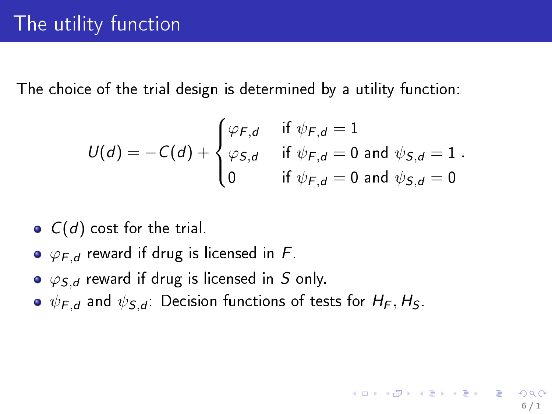$$
U(d) = -C(d) + \begin{cases} \varphi_{F,d} & \text{if } \psi_{F,d} = 1 \\ \varphi_{S,d} & \text{if } \psi_{F,d} = 0 \text{ and } \psi_{S,d} = 1 \\ 0 & \text{if } \psi_{F,d} = 0 \text{ and } \psi_{S,d} = 0 \end{cases}
$$

- $\bullet$   $C(d)$  cost for the trial.
- $\bullet \varphi_{F,d}$  reward if drug is licensed in F.
- $\bullet$   $\varphi$ <sub>S,d</sub> reward if drug is licensed in S only.
- $\bullet \psi_{F,d}$  and  $\psi_{S,d}$ : Decision functions of tests for  $H_F, H_S$ .

イロト 不優 ト 不重 ト 不重 トー 重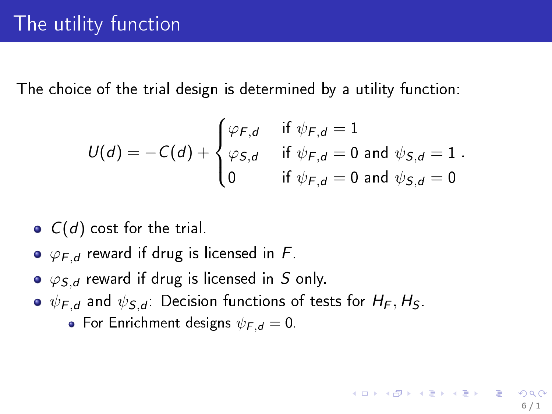$$
U(d) = -C(d) + \begin{cases} \varphi_{F,d} & \text{if } \psi_{F,d} = 1 \\ \varphi_{S,d} & \text{if } \psi_{F,d} = 0 \text{ and } \psi_{S,d} = 1 \\ 0 & \text{if } \psi_{F,d} = 0 \text{ and } \psi_{S,d} = 0 \end{cases}
$$

6 / 1

イロト 不優 ト 不重 ト 不重 トー 重

- $\bullet$   $C(d)$  cost for the trial.
- $\bullet \varphi_{F,d}$  reward if drug is licensed in F.
- $\bullet$   $\varphi$ <sub>S,d</sub> reward if drug is licensed in S only.
- $\bullet \psi_{F,d}$  and  $\psi_{S,d}$ : Decision functions of tests for  $H_F, H_S$ .
	- For Enrichment designs  $\psi_{F,d} = 0$ .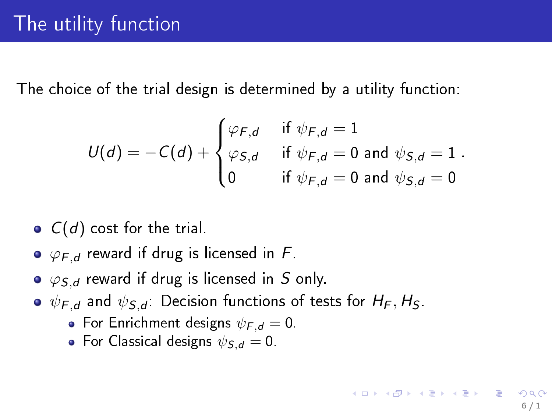$$
U(d) = -C(d) + \begin{cases} \varphi_{F,d} & \text{if } \psi_{F,d} = 1 \\ \varphi_{S,d} & \text{if } \psi_{F,d} = 0 \text{ and } \psi_{S,d} = 1 \\ 0 & \text{if } \psi_{F,d} = 0 \text{ and } \psi_{S,d} = 0 \end{cases}
$$

- $\bullet$   $C(d)$  cost for the trial.
- $\bullet \varphi_{F,d}$  reward if drug is licensed in F.
- $\bullet$   $\varphi$ <sub>S,d</sub> reward if drug is licensed in S only.
- $\bullet \psi_{F,d}$  and  $\psi_{S,d}$ : Decision functions of tests for  $H_F, H_S$ .
	- For Enrichment designs  $\psi_{F,d} = 0$ .
	- For Classical designs  $\psi_{S,d} = 0$ .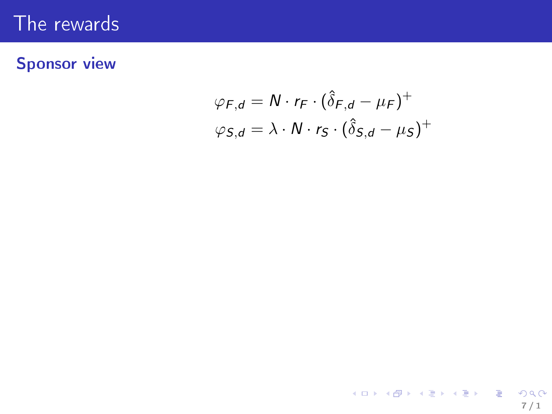### Sponsor view

$$
\varphi_{F,d} = N \cdot r_F \cdot (\hat{\delta}_{F,d} - \mu_F)^+
$$
  

$$
\varphi_{S,d} = \lambda \cdot N \cdot r_S \cdot (\hat{\delta}_{S,d} - \mu_S)^+
$$

7 / 1

イロト イ御ト イミト イミト ニミー りんぴ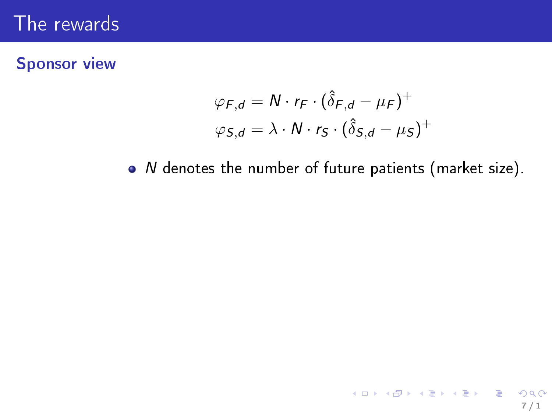### Sponsor view

$$
\varphi_{F,d} = N \cdot r_F \cdot (\hat{\delta}_{F,d} - \mu_F)^+
$$
  

$$
\varphi_{S,d} = \lambda \cdot N \cdot r_S \cdot (\hat{\delta}_{S,d} - \mu_S)^+
$$

 $\bullet$  N denotes the number of future patients (market size).

7 / 1

KORK@RKERKER E 1990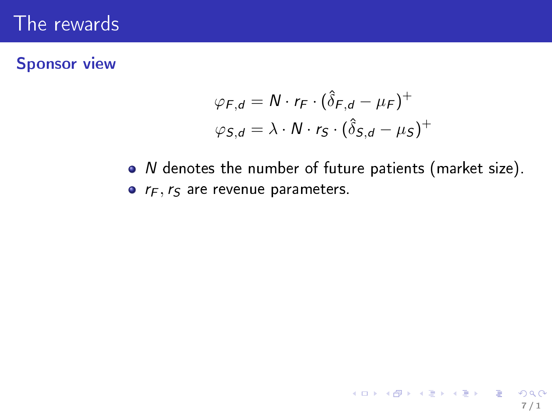#### Sponsor view

$$
\varphi_{F,d} = N \cdot r_F \cdot (\hat{\delta}_{F,d} - \mu_F)^+
$$
  

$$
\varphi_{S,d} = \lambda \cdot N \cdot r_S \cdot (\hat{\delta}_{S,d} - \mu_S)^+
$$

 $\bullet$  N denotes the number of future patients (market size).  $\bullet$   $r_F$ ,  $r_S$  are revenue parameters.

7 / 1

イロト イ御 トイミト イミト ニミー りんぴ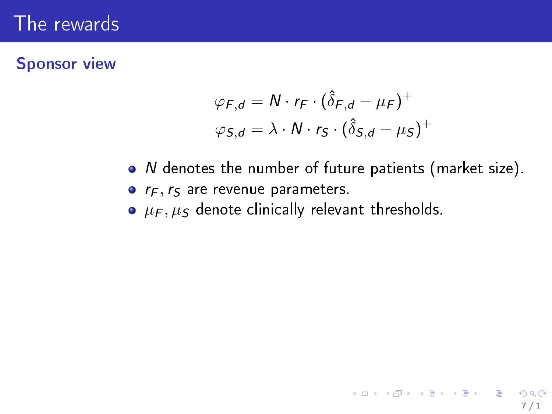### Sponsor view

$$
\varphi_{F,d} = N \cdot r_F \cdot (\hat{\delta}_{F,d} - \mu_F)^+
$$
  

$$
\varphi_{S,d} = \lambda \cdot N \cdot r_S \cdot (\hat{\delta}_{S,d} - \mu_S)^+
$$

 $\bullet$  N denotes the number of future patients (market size).

7 / 1

K ロ X x (@ X X 营 X X 营 X ) 를 → ⊙ Q (^

- $\bullet$   $r_F$ ,  $r_S$  are revenue parameters.
- $\bullet$   $\mu_F$ ,  $\mu_S$  denote clinically relevant thresholds.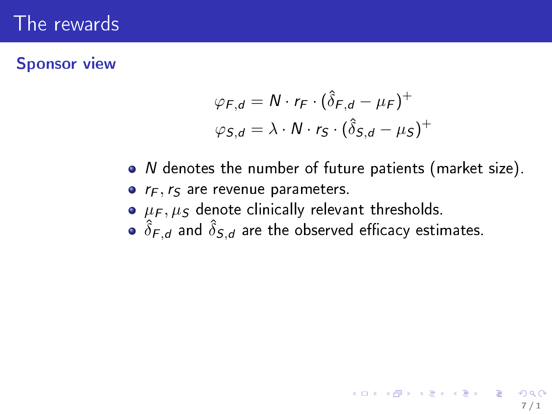#### Sponsor view

$$
\varphi_{F,d} = N \cdot r_F \cdot (\hat{\delta}_{F,d} - \mu_F)^+
$$
  

$$
\varphi_{S,d} = \lambda \cdot N \cdot r_S \cdot (\hat{\delta}_{S,d} - \mu_S)^+
$$

- N denotes the number of future patients (market size).
- $r_F$ ,  $r_S$  are revenue parameters.
- $\bullet$   $\mu_F$ ,  $\mu_S$  denote clinically relevant thresholds.
- $\hat{\delta}_{\mathsf{F},\mathsf{d}}$  and  $\hat{\delta}_{\mathsf{S},\mathsf{d}}$  are the observed efficacy estimates.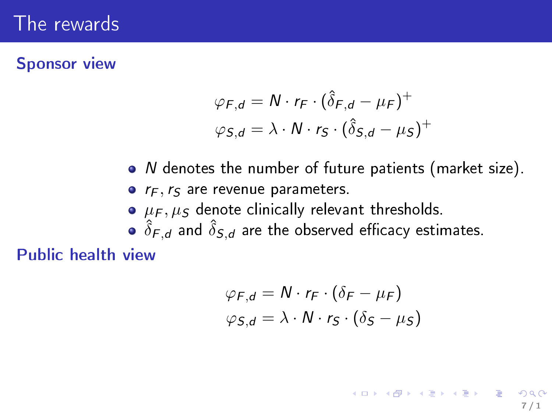#### Sponsor view

$$
\varphi_{F,d} = N \cdot r_F \cdot (\hat{\delta}_{F,d} - \mu_F)^+
$$
  

$$
\varphi_{S,d} = \lambda \cdot N \cdot r_S \cdot (\hat{\delta}_{S,d} - \mu_S)^+
$$

- N denotes the number of future patients (market size).
- $\bullet$   $r_F$ ,  $r_S$  are revenue parameters.
- $\bullet$   $\mu_F$ ,  $\mu_S$  denote clinically relevant thresholds.
- $\hat{\delta}_{\mathsf{F},\mathsf{d}}$  and  $\hat{\delta}_{\mathsf{S},\mathsf{d}}$  are the observed efficacy estimates.

Public health view

$$
\varphi_{F,d} = N \cdot r_F \cdot (\delta_F - \mu_F)
$$
  

$$
\varphi_{S,d} = \lambda \cdot N \cdot r_S \cdot (\delta_S - \mu_S)
$$

7 / 1

K ロ X X @ X X 할 X X 할 X X 할 ...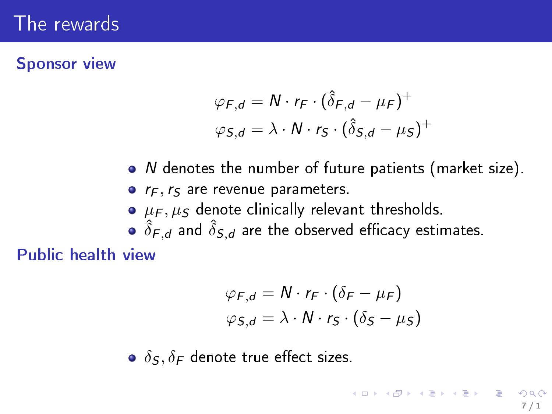#### Sponsor view

$$
\varphi_{F,d} = N \cdot r_F \cdot (\hat{\delta}_{F,d} - \mu_F)^+
$$
  

$$
\varphi_{S,d} = \lambda \cdot N \cdot r_S \cdot (\hat{\delta}_{S,d} - \mu_S)^+
$$

- N denotes the number of future patients (market size).
- $\bullet$   $r_F$ ,  $r_S$  are revenue parameters.
- $\bullet$   $\mu_F$ ,  $\mu_S$  denote clinically relevant thresholds.
- $\hat{\delta}_{\mathsf{F},\mathsf{d}}$  and  $\hat{\delta}_{\mathsf{S},\mathsf{d}}$  are the observed efficacy estimates.

Public health view

$$
\varphi_{F,d} = N \cdot r_F \cdot (\delta_F - \mu_F)
$$
  

$$
\varphi_{S,d} = \lambda \cdot N \cdot r_S \cdot (\delta_S - \mu_S)
$$

7 / 1

K ロ ▶ K @ ▶ K 할 ▶ K 할 ▶ ① 할 → ① Q ①

 $\delta$ <sub>S</sub>,  $\delta$ <sub>F</sub> denote true effect sizes.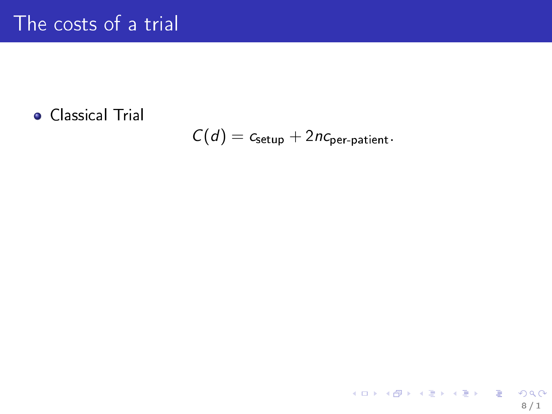### Classical Trial

$$
C(d) = c_{\text{setup}} + 2nc_{\text{per-patient}}.
$$

8 / 1

K ロ ▶ K @ ▶ K 할 ▶ K 할 ▶ ① 할 → ① 의 안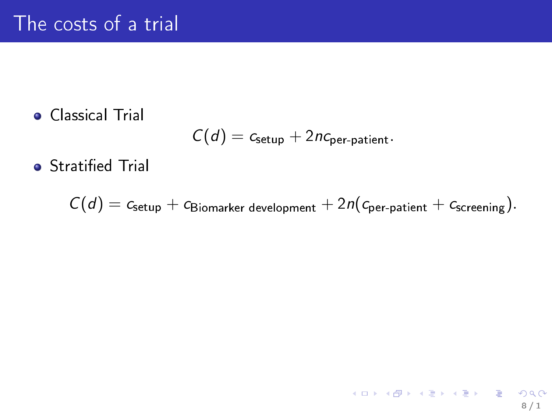Classical Trial

$$
C(d) = c_{\text{setup}} + 2nc_{\text{per-patient}}.
$$

**•** Stratified Trial

$$
C(d) = c_{\text{setup}} + c_{\text{Biomarker development}} + 2n(c_{\text{per patient}} + c_{\text{screening}}).
$$

 $\prec$ 

$$
\Box \rightarrow \Box \Box \rightarrow \Box \Box \rightarrow \Box \Box \rightarrow \Box \Box \rightarrow \Box \Box \rightarrow \Box \Box \rightarrow \Box \Box \rightarrow \Box \Box \rightarrow \Box \Box \rightarrow \Box \Box \rightarrow \Box \Box \rightarrow \Box \Box \rightarrow \Box \Box \rightarrow \Box \Box \rightarrow \Box \Box \rightarrow \Box \Box \rightarrow \Box \Box \rightarrow \Box \Box \rightarrow \Box \Box \rightarrow \Box \rightarrow \Box \Box \rightarrow \Box \rightarrow \Box \rightarrow \Box \rightarrow \Box \rightarrow \Box \rightarrow \Box \rightarrow \Box \rightarrow \Box \rightarrow \Box \rightarrow \Box \rightarrow \Box \rightarrow \Box \rightarrow \Box \rightarrow \Box \rightarrow \Box \rightarrow \Box \rightarrow \Box \rightarrow \Box \rightarrow \Box \rightarrow \Box \rightarrow \Box \rightarrow \Box \rightarrow \Box \rightarrow \Box \rightarrow \Box \rightarrow \Box \rightarrow \Box \rightarrow \Box \rightarrow \Box \rightarrow \Box \rightarrow \Box \rightarrow \Box \rightarrow \Box \rightarrow \Box \rightarrow \Box \rightarrow \Box \rightarrow \Box \rightarrow \Box \rightarrow \Box \rightarrow \Box \rightarrow \Box \rightarrow \Box \rightarrow \Box \rightarrow \Box \rightarrow \Box \rightarrow \Box \rightarrow \Box \rightarrow \Box \rightarrow \Box \rightarrow \Box \rightarrow \Box \rightarrow \Box \rightarrow \Box \rightarrow \Box \rightarrow \Box \rightarrow \Box \rightarrow \Box \rightarrow \Box \rightarrow \Box \rightarrow \Box \rightarrow \Box \rightarrow \Box \rightarrow \Box \rightarrow \Box \rightarrow \Box \rightarrow \Box \rightarrow \Box \rightarrow \Box \rightarrow \Box \rightarrow \Box \rightarrow \Box \rightarrow \Box \rightarrow \Box \rightarrow \Box \rightarrow \Box \rightarrow \Box \rightarrow \Box \rightarrow \Box \rightarrow \Box \rightarrow \Box \rightarrow \Box \rightarrow \Box \rightarrow \Box \rightarrow \Box \rightarrow \Box \rightarrow \Box \rightarrow \Box \rightarrow \Box \rightarrow \Box \rightarrow \Box \rightarrow \Box \rightarrow \Box \rightarrow \Box \rightarrow \Box \rightarrow \Box \rightarrow \Box \rightarrow \Box \rightarrow \Box \rightarrow \Box \rightarrow \Box \rightarrow \Box \rightarrow \Box \rightarrow \Box \rightarrow \Box \rightarrow \Box \rightarrow \Box \rightarrow \Box \rightarrow \Box \rightarrow \Box \rightarrow \Box \rightarrow \Box \rightarrow \Box \rightarrow \Box \rightarrow \Box \rightarrow \Box \rightarrow \Box \rightarrow \Box \rightarrow \Box \rightarrow \Box \rightarrow \Box \rightarrow \Box \rightarrow \Box \rightarrow \Box \rightarrow \Box \rightarrow \Box \rightarrow \Box \rightarrow \Box \rightarrow \Box \rightarrow \Box \rightarrow \Box \rightarrow \Box \rightarrow \Box \rightarrow \Box \rightarrow \Box \rightarrow \Box \rightarrow \Box \rightarrow \Box \rightarrow \Box \rightarrow \Box \rightarrow \Box \rightarrow \Box \rightarrow \Box \rightarrow \Box \rightarrow \Box \rightarrow \Box \rightarrow \Box \rightarrow \Box \rightarrow \Box \rightarrow \Box \rightarrow \Box \rightarrow \Box \rightarrow \Box \rightarrow \Box \rightarrow \Box \rightarrow \Box \rightarrow \Box \rightarrow \Box \rightarrow \Box \rightarrow
$$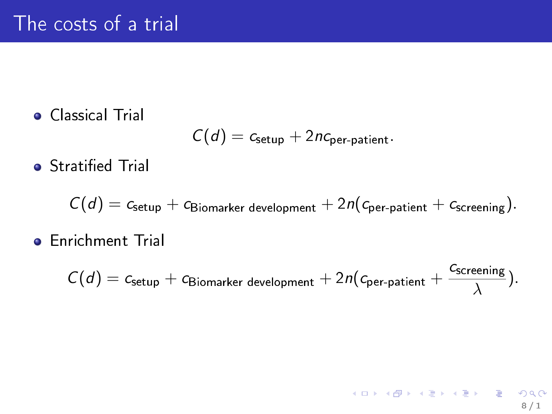Classical Trial

$$
C(d) = c_{\text{setup}} + 2nc_{\text{per-patient}}.
$$

**•** Stratified Trial

$$
C(d) = c_{\text{setup}} + c_{\text{Biomarker development}} + 2n(c_{\text{per patient}} + c_{\text{screening}}).
$$

**•** Enrichment Trial

$$
C(d) = c_{\text{setup}} + c_{\text{Biomarker development}} + 2n(c_{\text{per-patient}} + \frac{c_{\text{screening}}}{\lambda}).
$$

8 / 1

K ロ ▶ K @ ▶ K 할 ▶ K 할 ▶ → 할 → 9 Q @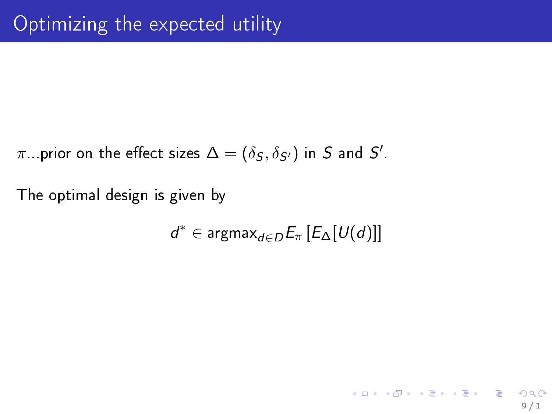$\pi$  . prior on the effect sizes  $\Delta=(\delta_{\mathcal{S}},\delta_{\mathcal{S}'})$  in  $\mathcal S$  and  $\mathcal S'$ .

The optimal design is given by

$$
d^* \in \text{argmax}_{d \in D} E_{\pi}\left[E_{\Delta}[U(d)]\right]
$$

9 / 1

イロト イ御 トイミト イミト ニミー りんぴ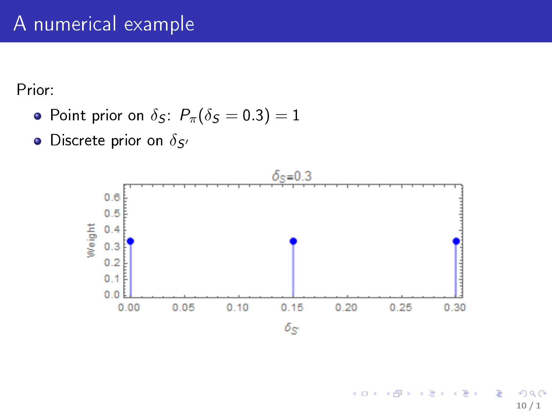Prior:

- Point prior on  $\delta_S$ :  $P_\pi(\delta_S = 0.3) = 1$
- $\bullet$  Discrete prior on  $\delta_{S'}$

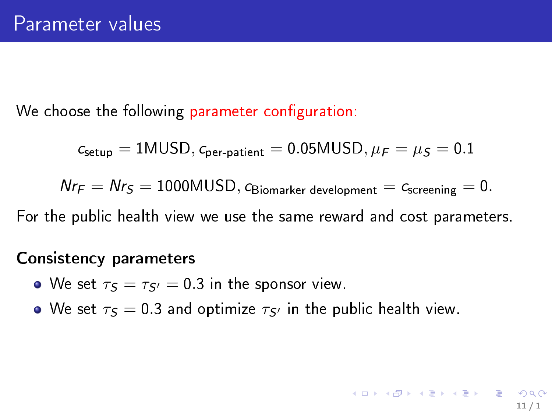We choose the following parameter configuration:

$$
c_{\text{setup}} = 1\text{MUSD}, c_{\text{per-patient}} = 0.05\text{MUSD}, \mu_\text{F} = \mu_\text{S} = 0.1
$$

 $Nr_F = Nr_S = 1000MUSD$ , CBiomarker development = Cscreening = 0.

11 / 1

 $\mathbf{A} \cap \mathbf{B} \rightarrow \mathbf{A} \oplus \mathbf{B} \rightarrow \mathbf{A} \oplus \mathbf{B} \rightarrow \mathbf{B} \oplus \mathbf{B} \oplus \mathbf{B} \oplus \mathbf{B} \oplus \mathbf{B} \oplus \mathbf{B} \oplus \mathbf{B} \oplus \mathbf{B} \oplus \mathbf{B} \oplus \mathbf{B} \oplus \mathbf{B} \oplus \mathbf{B} \oplus \mathbf{B} \oplus \mathbf{B} \oplus \mathbf{B} \oplus \mathbf{B} \oplus \mathbf{B} \oplus \mathbf{B} \oplus \mathbf{B} \opl$ 

For the public health view we use the same reward and cost parameters.

#### Consistency parameters

- We set  $\tau s = \tau s = 0.3$  in the sponsor view.
- We set  $\tau s = 0.3$  and optimize  $\tau s$  in the public health view.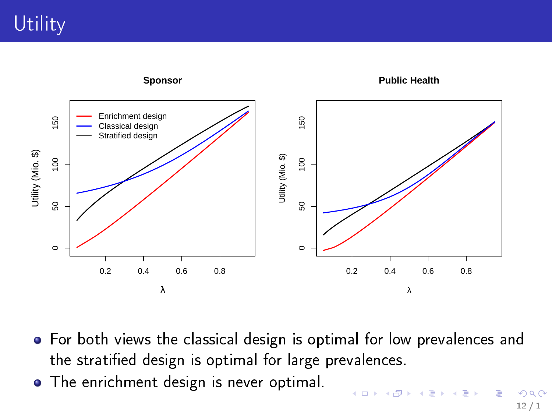

- For both views the classical design is optimal for low prevalences and the stratified design is optimal for large prevalences.
- **•** The enrichment design is never optimal.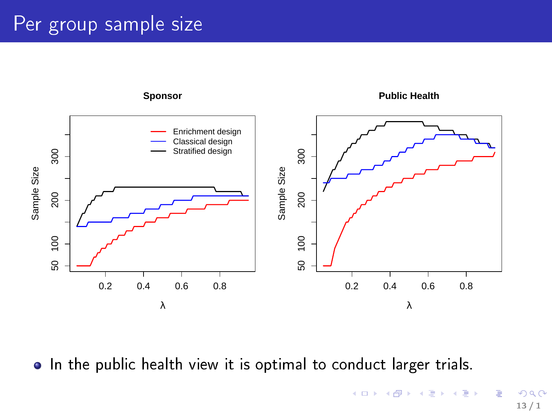# Per group sample size



• In the public health view it is optimal to conduct larger trials.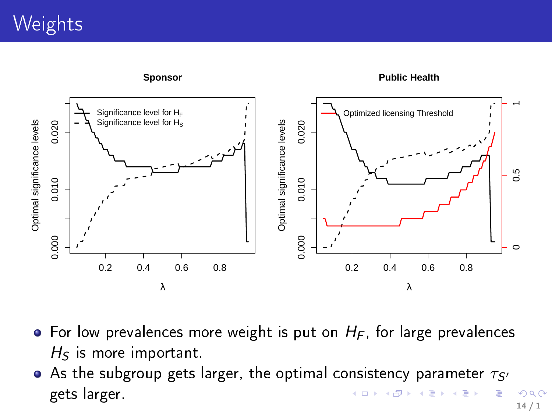# **Weights**



- For low prevalences more weight is put on  $H_F$ , for large prevalences  $H_S$  is more important.
- As the subgroup gets larger, the optimal consistency parameter  $\tau_{S}$ gets larger. **← ロ → → イロ**  $\,$   $\,$  $\leftarrow \equiv$  $\mathbf{p}$  $\bar{A}$ Þ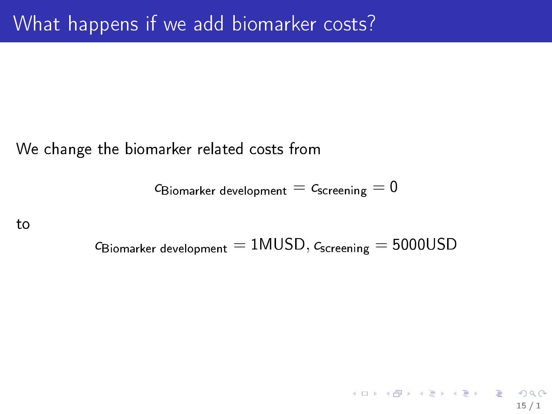We change the biomarker related costs from

 $c_{\text{Biomarker development}} = c_{\text{screening}} = 0$ 

to

 $c_{\text{Biomarker development}} = 1 \text{MUSD}, c_{\text{screening}} = 5000 \text{USD}$ 

15 / 1

K ロ ▶ K @ ▶ K 할 ▶ K 할 ▶ 이 할 → 900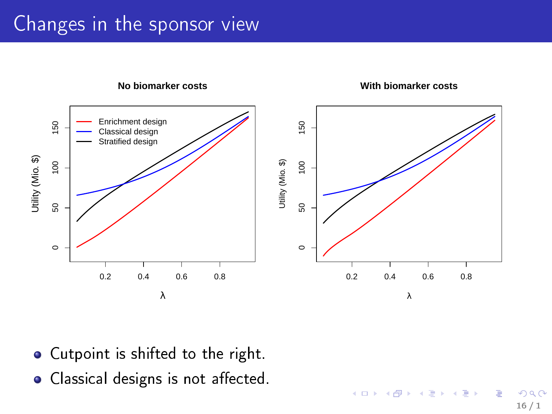# Changes in the sponsor view



16 / 1

 $QQ$ 

 $\mathbb{D} \rightarrow$ 

э

**K ロ ト K 何 ト K ヨ ト K** 

- Cutpoint is shifted to the right.
- Classical designs is not affected.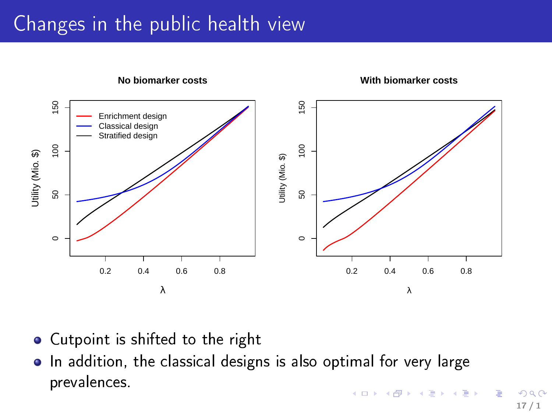# Changes in the public health view



- Cutpoint is shifted to the right  $\bullet$
- In addition, the classical designs is also optimal for very large prevalences.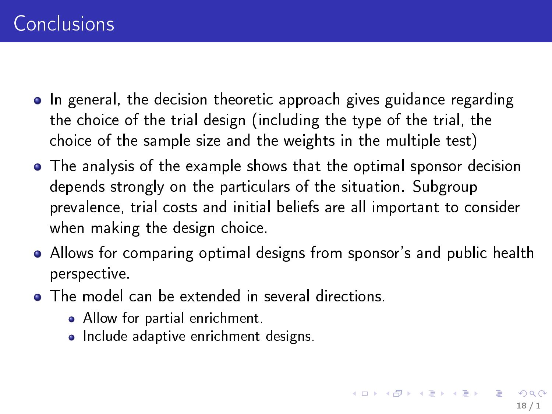- In general, the decision theoretic approach gives guidance regarding the choice of the trial design (including the type of the trial, the choice of the sample size and the weights in the multiple test)
- The analysis of the example shows that the optimal sponsor decision depends strongly on the particulars of the situation. Subgroup prevalence, trial costs and initial beliefs are all important to consider when making the design choice.
- Allows for comparing optimal designs from sponsor's and public health perspective.
- **•** The model can be extended in several directions.
	- Allow for partial enrichment.
	- Include adaptive enrichment designs.